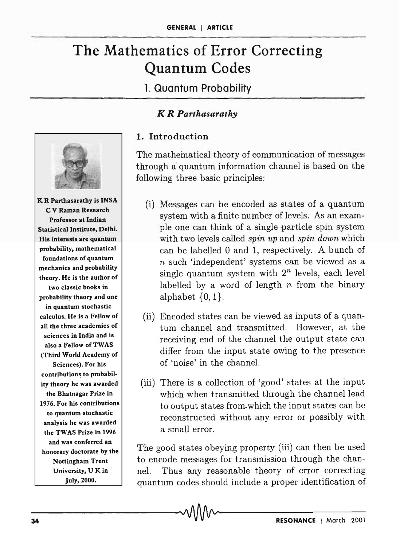# The Mathematics of Error Correcting Quantum Codes

1. Quantum Probability

### *K R Parthasarathy*



**K R Parthasarathy is INSA** C V Raman Research Professor at Indian Statistical Institute, Delhi. His interests are quantum probability, mathematical foundations of quantum mechanics and probability theory. He is the author of two classic books in probability theory and one in quantum stochastic calculus. He is a Fellow of all the three academies of sciences in India and is also a Fellow of TWAS (Third World Academy of Sciences). For his contributions to probability theory he was awarded the Bhatnagar Prize in 1976. For his contributions to quantum stochastic analysis he was awarded the TWAS Prize in 1996 and was conferred an honorary doctorate by the Nottingham Trent University, U K in July, 2000.

## 1. Introduction

The mathematical theory of communication of messages through a quantum information channel is based on the following three basic principles:

- (i) Messages can be encoded as states of a quantum system with a finite number of levels. As an example one can think of a single particle spin system with two levels called *spin up* and *spin down* which can be labelled 0 and 1, respectively. A bunch of n such 'independent' systems can be viewed as a single quantum system with *2n* levels, each level labelled by a word of length *n* from the binary alphabet  $\{0, 1\}.$
- (ii) Encoded states can be viewed as inputs of a quantum channel and transmitted. However, at the receiving end of the channel the output state can differ from the input state owing to the presence of 'noise' in the channel.
- (iii) There is a collection of 'good' states at the input which when transmitted through the channel lead to output states from. which the input states can be reconstructed without any error or possibly with a small error.

The good states obeying property (iii) can then be used to encode messages for transmission through the channel. Thus any reasonable theory of error correcting quantum codes should include a proper identification of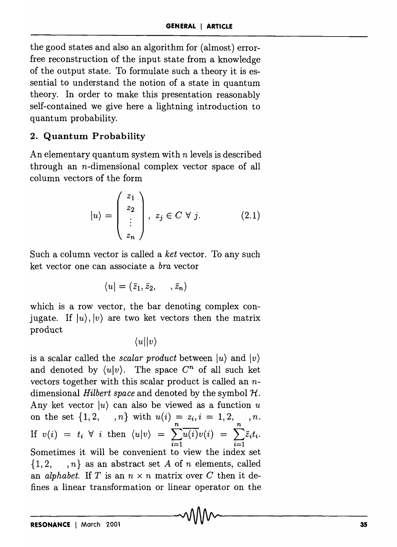the good states and also an algorithm for (almost) errorfree reconstruction of the input state from a knowledge of the output state. To formulate such a theory it is essential to understand the notion of a state in quantum theory. In order to make this presentation reasonably self-contained we give here a lightning introduction to quantum probability.

## 2. Quantum Probability

An elementary quantum system with *n* levels is described through an n-dimensional complex vector space of all column vectors of the form

$$
|u\rangle = \begin{pmatrix} z_1 \\ z_2 \\ \vdots \\ z_n \end{pmatrix}, \ z_j \in C \ \forall \ j. \tag{2.1}
$$

Such a column vector is called a *ket* vector. To any such ket vector one can associate a *bra* vector

$$
\langle u|=(\bar{z}_1,\bar{z}_2,\cdots,\bar{z}_n)
$$

which is a row vector, the bar denoting complex conjugate. If  $|u\rangle, |v\rangle$  are two ket vectors then the matrix product

 $\langle u || v \rangle$ 

is a scalar called the *scalar product* between  $|u\rangle$  and  $|v\rangle$ and denoted by  $\langle u | v \rangle$ . The space  $C^n$  of all such ket vectors together with this scalar product is called an ndimensional *Hilbert space* and denoted by the symbol *1t.*  Any ket vector  $|u\rangle$  can also be viewed as a function u on the set  $\{1, 2, n\}$  with  $u(i) = z_i, i = 1, 2, n, n$ . If  $v(i) = t_i \forall i$  then  $\langle u | v \rangle = \sum u(i)v(i) = \sum \overline{z_i}t_i$ .  $\sum_{i=1}$  i=1 Sometimes it will be convenient to view the index set {1,2, , *n}* as an abstract set *A* of *n* elements, called an *alphabet.* If *T* is an  $n \times n$  matrix over *C* then it defines a linear transformation or linear operator on the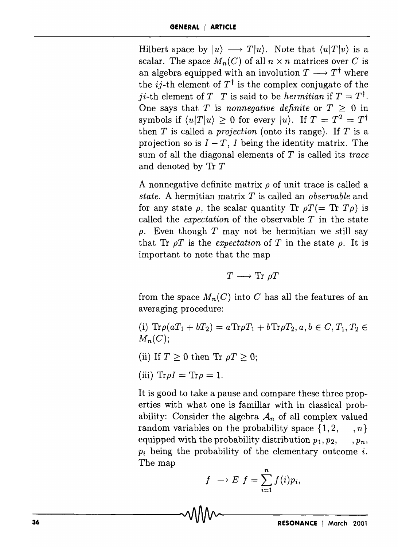Hilbert space by  $|u\rangle \longrightarrow T|u\rangle$ . Note that  $\langle u|T|v\rangle$  is a scalar. The space  $M_n(C)$  of all  $n \times n$  matrices over C is an algebra equipped with an involution  $T \longrightarrow T^{\dagger}$  where the *ij*-th element of  $T^{\dagger}$  is the complex conjugate of the *ji*-th element of *T T* is said to be *hermitian* if  $T = T^{\dagger}$ . One says that *T* is *nonnegative definite* or  $T > 0$  in symbols if  $\langle u|T|u \rangle \geq 0$  for every  $|u\rangle$ . If  $T = T^2 = T^{\dagger}$ then *T* is called a *projection* (onto its range). If *T* is a projection so is  $I - T$ , I being the identity matrix. The sum of all the diagonal elements of *T* is called its *trace*  and denoted by Tr *T* 

A nonnegative definite matrix  $\rho$  of unit trace is called a *state.* A hermitian matrix *T* is called an *observable* and for any state  $\rho$ , the scalar quantity Tr  $\rho T (=$  Tr  $T\rho)$  is called the *expectation* of the observable *T* in the state  $\rho$ . Even though T may not be hermitian we still say that Tr  $\rho T$  is the *expectation* of T in the state  $\rho$ . It is important to note that the map

$$
T \longrightarrow \text{Tr } \rho T
$$

from the space  $M_n(C)$  into C has all the features of an averaging procedure:

- (i)  $\text{Tr}\rho(aT_1 + bT_2) = a\text{Tr}\rho T_1 + b\text{Tr}\rho T_2, a, b \in C, T_1, T_2 \in$  $M_n(C);$
- (ii) If  $T \geq 0$  then Tr  $\rho T \geq 0$ ;
- $(iii)$   $Tr \rho I = Tr \rho = 1.$

It is good to take a pause and compare these three properties with what one is familiar with in classical probability: Consider the algebra  $A_n$  of all complex valued random variables on the probability space  $\{1, 2, ..., n\}$ equipped with the probability distribution  $p_1, p_2, \ldots, p_n$ ,  $p_i$  being the probability of the elementary outcome  $i$ . The map *<sup>n</sup>*

$$
f \longrightarrow E \, f = \sum_{i=1}^n f(i) p_i,
$$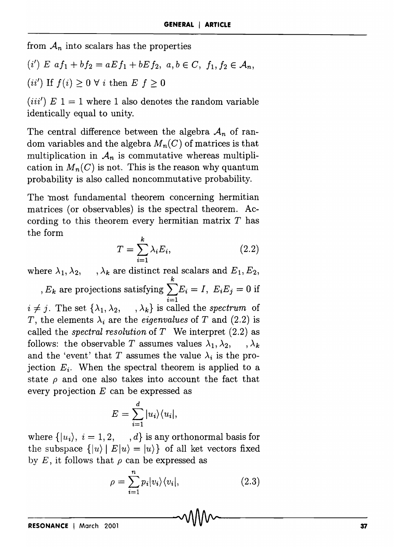from  $A_n$  into scalars has the properties

 $(i')$  *E*  $af_1 + bf_2 = aEf_1 + bEf_2$ ,  $a, b \in C$ ,  $f_1, f_2 \in A_n$ ,

(ii') If  $f(i) \geq 0 \forall i$  then  $E f \geq 0$ 

(*iii'*)  $E 1 = 1$  where 1 also denotes the random variable identically equal to unity.

The central difference between the algebra  $A_n$  of random variables and the algebra  $M_n(C)$  of matrices is that multiplication in  $A_n$  is commutative whereas multiplication in  $M_n(C)$  is not. This is the reason why quantum probability is also called noncommutative probability.

The most fundamental theorem concerning hermitian matrices (or observables) is the spectral theorem. According to this theorem every hermitian matrix T has the form

$$
T = \sum_{i=1}^{k} \lambda_i E_i, \qquad (2.2)
$$

where  $\lambda_1, \lambda_2, \dots, \lambda_k$  are distinct real scalars and  $E_1, E_2, \dots$  $E_k$  are projections satisfying  $\sum^k E_i = I$ ,  $E_i E_j = 0$  if  $\sum_{i=1}$  $i \neq j$ . The set  $\{\lambda_1, \lambda_2, \dots, \lambda_k\}$  is called the *spectrum* of *T*, the elements  $\lambda_i$  are the *eigenvalues* of *T* and (2.2) is called the *spectral resolution* of *T* We interpret (2.2) as follows: the observable *T* assumes values  $\lambda_1, \lambda_2, \dots, \lambda_k$ and the 'event' that *T* assumes the value  $\lambda_i$  is the projection  $E_i$ . When the spectral theorem is applied to a state  $\rho$  and one also takes into account the fact that every projection *E* can be expressed as

$$
E = \sum_{i=1}^{d} |u_i\rangle\langle u_i|,
$$

where  $\{|u_i\rangle, i = 1, 2, \dots, d\}$  is any orthonormal basis for the subspace  $\{|u\rangle | E|u\rangle = |u\rangle\}$  of all ket vectors fixed by  $E$ , it follows that  $\rho$  can be expressed as

$$
\rho = \sum_{i=1}^{n} p_i |v_i\rangle\langle v_i|, \qquad (2.3)
$$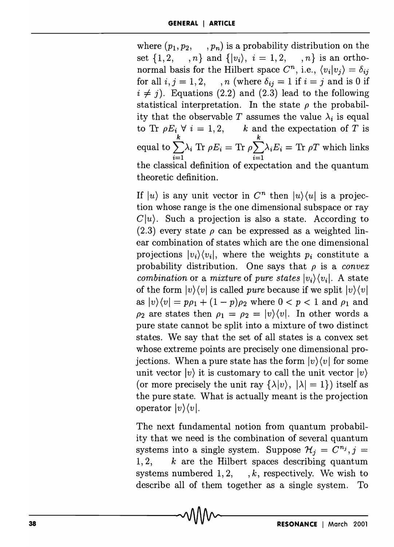where  $(p_1, p_2, \ldots, p_n)$  is a probability distribution on the set  $\{1, 2, ..., n\}$  and  $\{|v_i\rangle, i = 1, 2, ..., n\}$  is an orthonormal basis for the Hilbert space  $C^n$ , i.e.,  $\langle v_i | v_j \rangle = \delta_{ij}$ for all  $i, j = 1, 2, \dots, n$  (where  $\delta_{ij} = 1$  if  $i = j$  and is 0 if  $i \neq j$ ). Equations (2.2) and (2.3) lead to the following statistical interpretation. In the state  $\rho$  the probability that the observable T assumes the value  $\lambda_i$  is equal to Tr  $\rho E_i \forall i = 1, 2, \quad k$  and the expectation of *T* is *k k*  equal to  $\sum \lambda_i$  Tr  $\rho E_i =$  Tr  $\rho \sum \lambda_i E_i =$  Tr  $\rho T$  which links  $\overline{i=1}$   $\overline{i=1}$ the classical definition of expectation and the quantum theoretic definition.

If  $|u\rangle$  is any unit vector in  $C^n$  then  $|u\rangle\langle u|$  is a projection whose range is the one dimensional subspace or ray  $C|u\rangle$ . Such a projection is also a state. According to (2.3) every state  $\rho$  can be expressed as a weighted linear combination of states which are the one dimensional projections  $|v_i\rangle\langle v_i|$ , where the weights  $p_i$  constitute a probability distribution. One says that  $\rho$  is a *convex combination* or a *mixture* of *pure states*  $|v_i\rangle\langle v_i|$ . A state of the form  $|v\rangle\langle v|$  is called *pure* because if we split  $|v\rangle\langle v|$ as  $|v\rangle\langle v| = p\rho_1 + (1-p)\rho_2$  where  $0 < p < 1$  and  $\rho_1$  and  $\rho_2$  are states then  $\rho_1 = \rho_2 = |v\rangle\langle v|$ . In other words a pure state cannot be split into a mixture of two distinct states. We say that the set of all states is a convex set whose extreme points are precisely one dimensional projections. When a pure state has the form  $|v\rangle\langle v|$  for some unit vector  $|v\rangle$  it is customary to call the unit vector  $|v\rangle$ (or more precisely the unit ray  $\{\lambda | v\}$ ,  $|\lambda | = 1\}$ ) itself as the pure state. What is actually meant is the projection operator  $|v\rangle\langle v|$ .

The next fundamental notion from quantum probability that we need is the combination of several quantum systems into a single system. Suppose  $\mathcal{H}_j = C^{n_j}, j=$ *1,2, k* are the Hilbert spaces describing quantum systems numbered  $1, 2, \dots, k$ , respectively. We wish to describe all of them together as a single system. To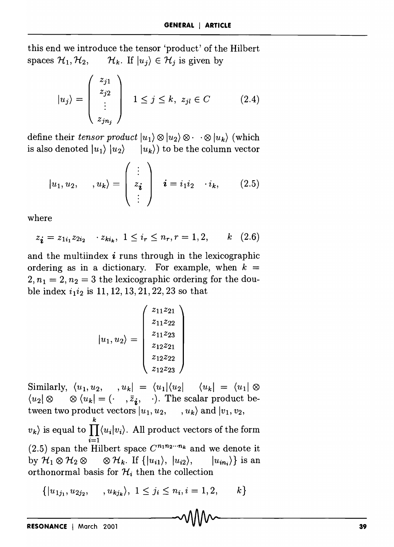this end we introduce the tensor 'product' of the Hilbert spaces  $\mathcal{H}_1, \mathcal{H}_2, \qquad \mathcal{H}_k$ . If  $|u_j\rangle \in \mathcal{H}_j$  is given by

$$
|u_j\rangle = \begin{pmatrix} z_{j1} \\ z_{j2} \\ \vdots \\ z_{jn_j} \end{pmatrix} \quad 1 \le j \le k, \ z_{jl} \in C \tag{2.4}
$$

define their *tensor product*  $|u_1\rangle \otimes |u_2\rangle \otimes \cdots \otimes |u_k\rangle$  (which is also denoted  $|u_1\rangle |u_2\rangle - |u_k\rangle$  to be the column vector

$$
|u_1, u_2, \dots, u_k\rangle = \begin{pmatrix} \vdots \\ z_{\mathbf{i}} \\ \vdots \end{pmatrix} \quad \mathbf{i} = i_1 i_2 \quad \cdot i_k, \qquad (2.5)
$$

where

$$
z_{\mathbf{i}} = z_{1i_1} z_{2i_2} \cdots z_{ki_k}, \ 1 \leq i_r \leq n_r, r = 1, 2, \qquad k \quad (2.6)
$$

and the multiindex  $\boldsymbol{i}$  runs through in the lexicographic ordering as in a dictionary. For example, when  $k =$  $2, n_1 = 2, n_2 = 3$  the lexicographic ordering for the double index  $i_1 i_2$  is 11, 12, 13, 21, 22, 23 so that

$$
|u_1, u_2\rangle = \begin{pmatrix} z_{11}z_{21} \\ z_{11}z_{22} \\ z_{11}z_{23} \\ z_{12}z_{21} \\ z_{12}z_{22} \\ z_{12}z_{23} \end{pmatrix}
$$

Similarly,  $\langle u_1, u_2, \dots, u_k \rangle = \langle u_1 | \langle u_2 | \dots \langle u_k \rangle \rangle = \langle u_1 | \otimes \rangle$  $\langle u_2 | \otimes \otimes \langle u_k | = (\cdot \quad , \bar{z}_i, \quad \cdot).$  The scalar product between two product vectors  $|u_1, u_2, \dots, u_k\rangle$  and  $|v_1, v_2, \dots, v_k\rangle$  $\langle v_k \rangle$  is equal to  $\prod^k \langle u_i | v_i \rangle$ . All product vectors of the form  $i=1$ (2.5) span the Hilbert space  $C^{n_1 n_2 \cdots n_k}$  and we denote it by  $\mathcal{H}_1 \otimes \mathcal{H}_2 \otimes \cdots \otimes \mathcal{H}_k$ . If  $\{|u_{i1}\rangle, |u_{i2}\rangle, |u_{in_i}\rangle\}$  is an orthonormal basis for  $\mathcal{H}_i$  then the collection

$$
\{|u_{1j_1}, u_{2j_2}, \dots, u_{kj_k}\rangle, 1 \le j_i \le n_i, i = 1, 2, \dots k\}
$$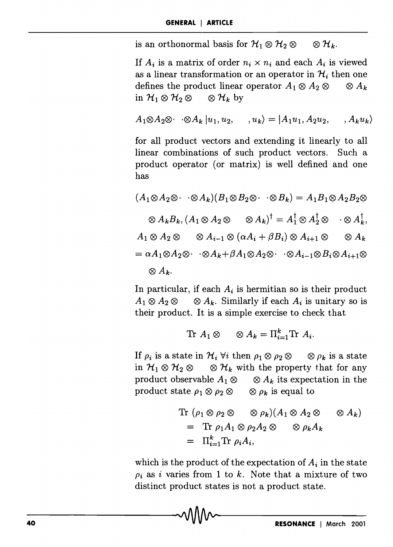is an orthonormal basis for  $\mathcal{H}_1 \otimes \mathcal{H}_2 \otimes$  $\otimes {\cal H}_{k}.$ 

If  $A_i$  is a matrix of order  $n_i \times n_i$  and each  $A_i$  is viewed as a linear transformation or an operator in  $\mathcal{H}_i$  then one defines the product linear operator  $A_1 \otimes A_2 \otimes \cdots \otimes A_k$ in  $\mathcal{H}_1 \otimes \mathcal{H}_2 \otimes \otimes \mathcal{H}_k$  by

$$
A_1 \otimes A_2 \otimes \cdots \otimes A_k \mid u_1, u_2, \qquad, u_k \rangle = |A_1 u_1, A_2 u_2, \qquad, A_k u_k \rangle
$$

for all product vectors and extending it linearly to all linear combinations of such product vectors. Such a product operator (or matrix) is well defined and one has

$$
(A_1 \otimes A_2 \otimes \cdots \otimes A_k)(B_1 \otimes B_2 \otimes \cdots \otimes B_k) = A_1 B_1 \otimes A_2 B_2 \otimes
$$
  

$$
\otimes A_k B_k, (A_1 \otimes A_2 \otimes \cdots \otimes A_k)^{\dagger} = A_1^{\dagger} \otimes A_2^{\dagger} \otimes \cdots \otimes A_k^{\dagger},
$$
  

$$
A_1 \otimes A_2 \otimes \cdots \otimes A_{i-1} \otimes (\alpha A_i + \beta B_i) \otimes A_{i+1} \otimes \cdots \otimes A_k
$$
  

$$
= \alpha A_1 \otimes A_2 \otimes \cdots \otimes A_k + \beta A_1 \otimes A_2 \otimes \cdots \otimes A_{i-1} \otimes B_i \otimes A_{i+1} \otimes
$$
  

$$
\otimes A_k.
$$

In particular, if each  $A_i$  is hermitian so is their product  $A_1 \otimes A_2 \otimes \cdots \otimes A_k$ . Similarly if each  $A_i$  is unitary so is their product. It is a simple exercise to check that

$$
\text{Tr } A_1 \otimes \otimes A_k = \Pi_{i=1}^k \text{Tr } A_i.
$$

If  $\rho_i$  is a state in  $\mathcal{H}_i$   $\forall i$  then  $\rho_1 \otimes \rho_2 \otimes \cdots \otimes \rho_k$  is a state in  $H_1 \otimes H_2 \otimes \cdots \otimes H_k$  with the property that for any product observable  $A_1 \otimes \otimes A_k$  its expectation in the product state  $\rho_1 \otimes \rho_2 \otimes \cdots \otimes \rho_k$  is equal to

$$
\begin{aligned} \text{Tr } (\rho_1 \otimes \rho_2 \otimes \otimes \rho_k)(A_1 \otimes A_2 \otimes \otimes A_k) \\ &= \text{Tr } \rho_1 A_1 \otimes \rho_2 A_2 \otimes \otimes \rho_k A_k \\ &= \Pi_{i=1}^k \text{Tr } \rho_i A_i, \end{aligned}
$$

which is the product of the expectation of  $A_i$  in the state  $\rho_i$  as i varies from 1 to k. Note that a mixture of two distinct product states is not a product state.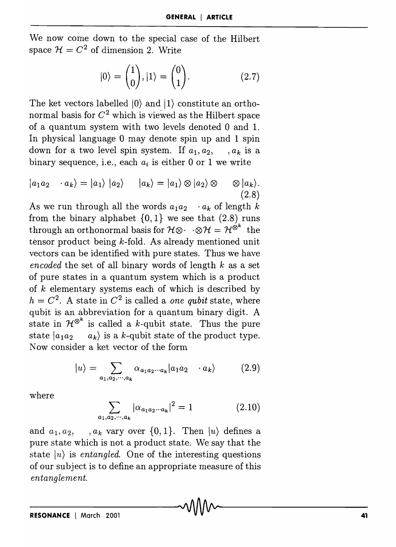We now come down to the special case of the Hilbert space  $\mathcal{H} = C^2$  of dimension 2. Write

$$
|0\rangle = \begin{pmatrix} 1 \\ 0 \end{pmatrix}, |1\rangle = \begin{pmatrix} 0 \\ 1 \end{pmatrix}.
$$
 (2.7)

The ket vectors labelled  $|0\rangle$  and  $|1\rangle$  constitute an orthonormal basis for  $C^2$  which is viewed as the Hilbert space of a quantum system with two levels denoted 0 and 1. In physical language 0 may denote spin up and 1 spin down for a two level spin system. If  $a_1, a_2, \ldots, a_k$  is a binary sequence, i.e., each  $a_i$  is either 0 or 1 we write

$$
|a_1a_2 \cdots a_k\rangle = |a_1\rangle |a_2\rangle \qquad |a_k\rangle = |a_1\rangle \otimes |a_2\rangle \otimes \qquad \otimes |a_k\rangle.
$$
\n(2.8)

As we run through all the words  $a_1 a_2 \cdot a_k$  of length *k* from the binary alphabet  $\{0, 1\}$  we see that  $(2.8)$  runs through an orthonormal basis for  $\mathcal{H} \otimes \cdot \cdot \otimes \mathcal{H} = \mathcal{H}^{\otimes^k}$  the tensor product being  $k$ -fold. As already mentioned unit vectors can be identified with pure states. Thus we have *encoded* the set of all binary words of length *k* as a set of pure states in a quantum system which is a product of *k* elementary systems each of which is described by  $h = C<sup>2</sup>$ . A state in  $C<sup>2</sup>$  is called a *one qubit* state, where qubit is an abbreviation for a quantum binary digit. A state in  $\mathcal{H}^{\otimes k}$  is called a k-qubit state. Thus the pure state  $|a_1a_2 \rangle$  a<sub>k</sub>) is a k-qubit state of the product type. Now consider a ket vector of the form

$$
|u\rangle = \sum_{a_1, a_2, \cdots, a_k} \alpha_{a_1 a_2 \cdots a_k} |a_1 a_2 \cdots a_k\rangle \tag{2.9}
$$

where

$$
\sum_{a_1, a_2, \cdots, a_k} |\alpha_{a_1 a_2 \cdots a_k}|^2 = 1 \tag{2.10}
$$

and  $a_1, a_2, \ldots, a_k$  vary over  $\{0, 1\}$ . Then  $|u\rangle$  defines a pure state which is not a product state. We say that the state  $|u\rangle$  is *entangled*. One of the interesting questions of our subject is to define an appropriate measure of this *entanglement.*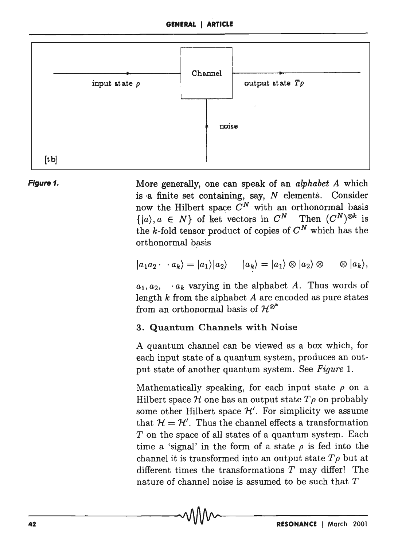



More generally, one can speak of an *alphabet A* which is  $\alpha$  finite set containing, say, N elements. Consider now the Hilbert space  $C^N$  with an orthonormal basis  $\{|a\rangle, a \in N\}$  of ket vectors in  $C^N$  Then  $(C^N)^{\otimes k}$  is the k-fold tensor product of copies of  $C^N$  which has the orthonormal basis

$$
|a_1a_2\cdot\cdot\cdot a_k\rangle=|a_1\rangle|a_2\rangle\qquad|a_k\rangle=|a_1\rangle\otimes|a_2\rangle\otimes\qquad\otimes|a_k\rangle,
$$

 $a_1, a_2, \cdots, a_k$  varying in the alphabet *A*. Thus words of length  $k$  from the alphabet  $A$  are encoded as pure states from an orthonormal basis of  $\mathcal{H}^{\otimes^k}$ 

#### 3. Quantum Channels with Noise

A quantum channel can be viewed as a box which, for each input state of a quantum system, produces an output state of another quantum system. See *Figure* l.

Mathematically speaking, for each input state  $\rho$  on a Hilbert space  $H$  one has an output state  $T\rho$  on probably some other Hilbert space  $\mathcal{H}'$ . For simplicity we assume that  $H = H'$ . Thus the channel effects a transformation T on the space of all states of a quantum system. Each time a 'signal' in the form of a state  $\rho$  is fed into the channel it is transformed into an output state  $T_{\rho}$  but at different times the transformations *T* may differ! The nature of channel noise is assumed to be such that  $T$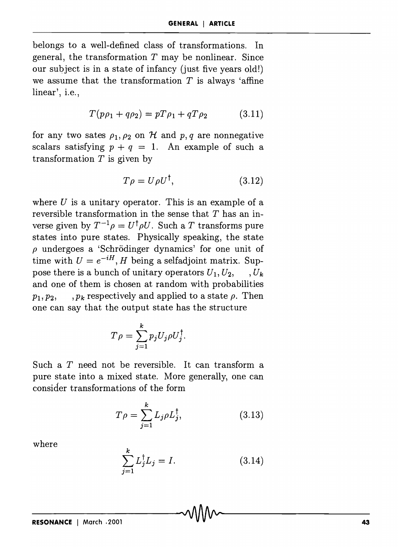belongs to a well-defined class of transformations. In general, the transformation  $T$  may be nonlinear. Since our subject is in a state of infancy (just five years old!) we assume that the transformation *T* is always 'affine linear', i.e.,

$$
T(p\rho_1 + q\rho_2) = pT\rho_1 + qT\rho_2 \tag{3.11}
$$

for any two sates  $\rho_1$ ,  $\rho_2$  on H and p, q are nonnegative scalars satisfying  $p + q = 1$ . An example of such a transformation  $T$  is given by

$$
T\rho = U\rho U^{\dagger}, \qquad (3.12)
$$

where *U* is a unitary operator. This is an example of a reversible transformation in the sense that *T* has an inverse given by  $T^{-1}\rho = U^{\dagger} \rho U$ . Such a *T* transforms pure states into pure states. Physically speaking, the state  $\rho$  undergoes a 'Schrödinger dynamics' for one unit of time with  $U = e^{-iH}$ , *H* being a selfadjoint matrix. Suppose there is a bunch of unitary operators  $U_1, U_2, \ldots, U_k$ and one of them is chosen at random with probabilities  $p_1, p_2, \ldots, p_k$  respectively and applied to a state  $\rho$ . Then one can say that the output state has the structure

$$
T \rho = \sum_{j=1}^{k} p_j U_j \rho U_j^{\dagger}.
$$

Such a T need not be reversible. It can transform a pure state into a mixed state. More generally, one can consider transformations of the form

$$
T\rho = \sum_{j=1}^{k} L_j \rho L_j^{\dagger}, \qquad (3.13)
$$

where

$$
\sum_{j=1}^{k} L_j^{\dagger} L_j = I. \tag{3.14}
$$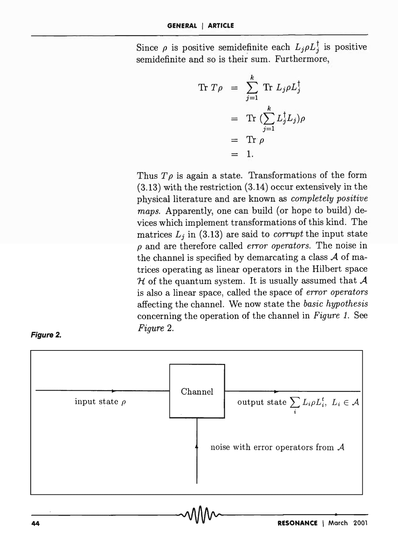Since  $\rho$  is positive semidefinite each  $L_j \rho L_j^{\dagger}$  is positive semidefinite and so is their sum. Furthermore,

$$
\begin{array}{rcl}\n\text{Tr } T \rho & = & \sum_{j=1}^{k} \text{Tr } L_j \rho L_j^{\dagger} \\
& = & \text{Tr } \left( \sum_{j=1}^{k} L_j^{\dagger} L_j \right) \rho \\
& = & \text{Tr } \rho \\
& = & 1.\n\end{array}
$$

Thus  $T\rho$  is again a state. Transformations of the form (3.13) with the restriction (3.14) occur extensively in the physical literature and are known as *completely positive maps.* Apparently, one can build (or hope to build) devices which implement transformations of this kind. The matrices  $L_j$  in (3.13) are said to *corrupt* the input state *p* and are therefore called *error operators.* The noise in the channel is specified by demarcating a class *A* of matrices operating as linear operators in the Hilbert space *'H* of the quantum system. It is usually assumed that *A*  is also a linear space, called the space of *error operators*  affecting the channel. We now state the *basic hypothesis*  concerning the operation of the channel in *Figure* 1. See *Figure 2.*